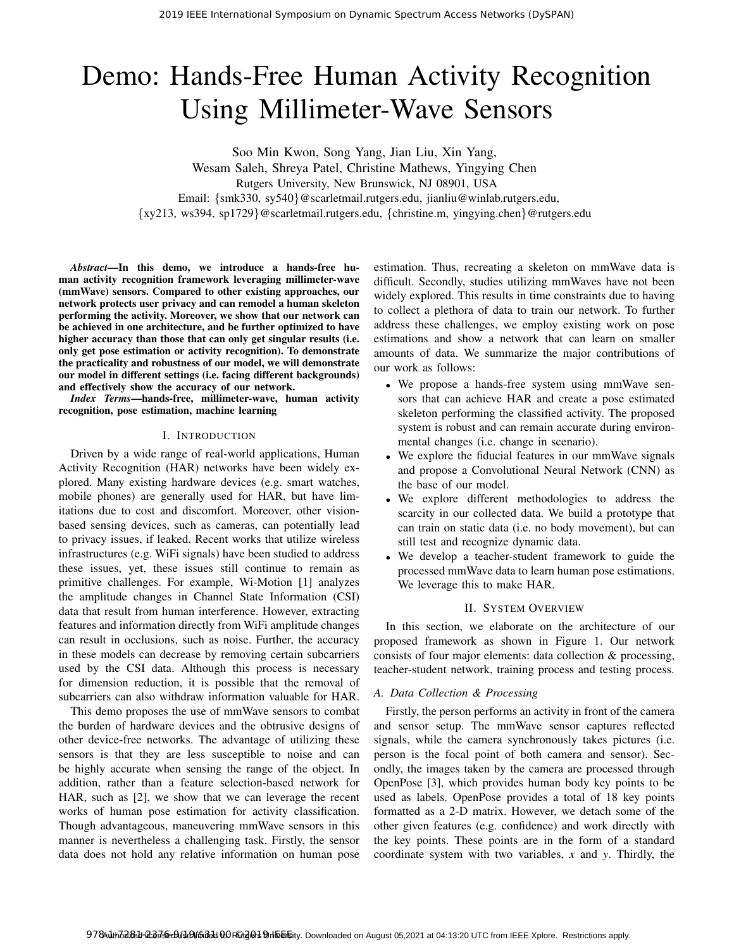# Demo: Hands-Free Human Activity Recognition Using Millimeter-Wave Sensors

Soo Min Kwon, Song Yang, Jian Liu, Xin Yang, Wesam Saleh, Shreya Patel, Christine Mathews, Yingying Chen Rutgers University, New Brunswick, NJ 08901, USA Email: {smk330, sy540}@scarletmail.rutgers.edu, jianliu@winlab.rutgers.edu, {xy213, ws394, sp1729}@scarletmail.rutgers.edu, {christine.m, yingying.chen}@rutgers.edu

*Abstract*—In this demo, we introduce a hands-free human activity recognition framework leveraging millimeter-wave (mmWave) sensors. Compared to other existing approaches, our network protects user privacy and can remodel a human skeleton performing the activity. Moreover, we show that our network can be achieved in one architecture, and be further optimized to have higher accuracy than those that can only get singular results (i.e. only get pose estimation or activity recognition). To demonstrate the practicality and robustness of our model, we will demonstrate our model in different settings (i.e. facing different backgrounds) and effectively show the accuracy of our network.

*Index Terms*—hands-free, millimeter-wave, human activity recognition, pose estimation, machine learning

#### I. INTRODUCTION

Driven by a wide range of real-world applications, Human Activity Recognition (HAR) networks have been widely explored. Many existing hardware devices (e.g. smart watches, mobile phones) are generally used for HAR, but have limitations due to cost and discomfort. Moreover, other visionbased sensing devices, such as cameras, can potentially lead to privacy issues, if leaked. Recent works that utilize wireless infrastructures (e.g. WiFi signals) have been studied to address these issues, yet, these issues still continue to remain as primitive challenges. For example, Wi-Motion [1] analyzes the amplitude changes in Channel State Information (CSI) data that result from human interference. However, extracting features and information directly from WiFi amplitude changes can result in occlusions, such as noise. Further, the accuracy in these models can decrease by removing certain subcarriers used by the CSI data. Although this process is necessary for dimension reduction, it is possible that the removal of subcarriers can also withdraw information valuable for HAR.

This demo proposes the use of mmWave sensors to combat the burden of hardware devices and the obtrusive designs of other device-free networks. The advantage of utilizing these sensors is that they are less susceptible to noise and can be highly accurate when sensing the range of the object. In addition, rather than a feature selection-based network for HAR, such as [2], we show that we can leverage the recent works of human pose estimation for activity classification. Though advantageous, maneuvering mmWave sensors in this manner is nevertheless a challenging task. Firstly, the sensor data does not hold any relative information on human pose

estimation. Thus, recreating a skeleton on mmWave data is difficult. Secondly, studies utilizing mmWaves have not been widely explored. This results in time constraints due to having to collect a plethora of data to train our network. To further address these challenges, we employ existing work on pose estimations and show a network that can learn on smaller amounts of data. We summarize the major contributions of our work as follows:

- We propose a hands-free system using mmWave sensors that can achieve HAR and create a pose estimated skeleton performing the classified activity. The proposed system is robust and can remain accurate during environmental changes (i.e. change in scenario).
- We explore the fiducial features in our mmWave signals and propose a Convolutional Neural Network (CNN) as the base of our model.
- We explore different methodologies to address the scarcity in our collected data. We build a prototype that can train on static data (i.e. no body movement), but can still test and recognize dynamic data.
- We develop a teacher-student framework to guide the processed mmWave data to learn human pose estimations. We leverage this to make HAR.

## II. SYSTEM OVERVIEW

In this section, we elaborate on the architecture of our proposed framework as shown in Figure 1. Our network consists of four major elements: data collection & processing, teacher-student network, training process and testing process.

## *A. Data Collection & Processing*

Firstly, the person performs an activity in front of the camera and sensor setup. The mmWave sensor captures reflected signals, while the camera synchronously takes pictures (i.e. person is the focal point of both camera and sensor). Secondly, the images taken by the camera are processed through OpenPose [3], which provides human body key points to be used as labels. OpenPose provides a total of 18 key points formatted as a 2-D matrix. However, we detach some of the other given features (e.g. confidence) and work directly with the key points. These points are in the form of a standard coordinate system with two variables, *x* and *y*. Thirdly, the